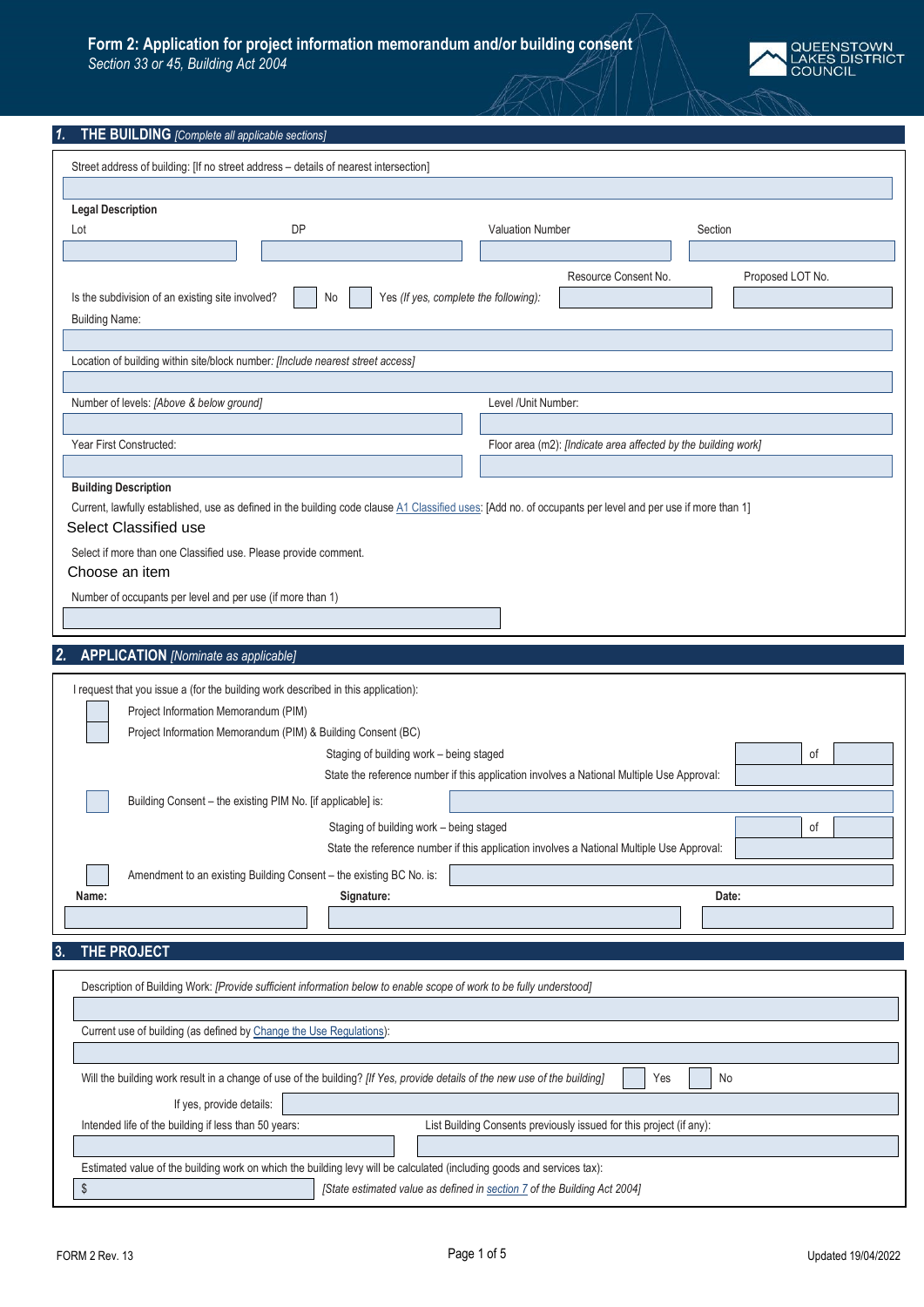## **Form 2: Application for project information memorandum and/or building consent**

*Section 33 or 45, Building Act 2004*



## *1.* **THE BUILDING** *[Complete all applicable sections]*

| Street address of building: [If no street address - details of nearest intersection]                                                                                                                                                                                                                                                                                                                                                         |                                                                                                                                                                                        |                   |
|----------------------------------------------------------------------------------------------------------------------------------------------------------------------------------------------------------------------------------------------------------------------------------------------------------------------------------------------------------------------------------------------------------------------------------------------|----------------------------------------------------------------------------------------------------------------------------------------------------------------------------------------|-------------------|
|                                                                                                                                                                                                                                                                                                                                                                                                                                              |                                                                                                                                                                                        |                   |
| <b>Legal Description</b><br><b>DP</b><br>Lot                                                                                                                                                                                                                                                                                                                                                                                                 | <b>Valuation Number</b>                                                                                                                                                                | Section           |
|                                                                                                                                                                                                                                                                                                                                                                                                                                              |                                                                                                                                                                                        |                   |
|                                                                                                                                                                                                                                                                                                                                                                                                                                              | Resource Consent No.                                                                                                                                                                   | Proposed LOT No.  |
| Yes (If yes, complete the following):<br>Is the subdivision of an existing site involved?<br>No                                                                                                                                                                                                                                                                                                                                              |                                                                                                                                                                                        |                   |
| <b>Building Name:</b>                                                                                                                                                                                                                                                                                                                                                                                                                        |                                                                                                                                                                                        |                   |
|                                                                                                                                                                                                                                                                                                                                                                                                                                              |                                                                                                                                                                                        |                   |
| Location of building within site/block number: [Include nearest street access]                                                                                                                                                                                                                                                                                                                                                               |                                                                                                                                                                                        |                   |
|                                                                                                                                                                                                                                                                                                                                                                                                                                              |                                                                                                                                                                                        |                   |
| Number of levels: [Above & below ground]                                                                                                                                                                                                                                                                                                                                                                                                     | Level /Unit Number:                                                                                                                                                                    |                   |
|                                                                                                                                                                                                                                                                                                                                                                                                                                              |                                                                                                                                                                                        |                   |
| Year First Constructed:                                                                                                                                                                                                                                                                                                                                                                                                                      | Floor area (m2): [Indicate area affected by the building work]                                                                                                                         |                   |
|                                                                                                                                                                                                                                                                                                                                                                                                                                              |                                                                                                                                                                                        |                   |
| <b>Building Description</b>                                                                                                                                                                                                                                                                                                                                                                                                                  |                                                                                                                                                                                        |                   |
| Current, lawfully established, use as defined in the building code clause A1 Classified uses: [Add no. of occupants per level and per use if more than 1]<br>Select Classified use                                                                                                                                                                                                                                                           |                                                                                                                                                                                        |                   |
|                                                                                                                                                                                                                                                                                                                                                                                                                                              |                                                                                                                                                                                        |                   |
| Select if more than one Classified use. Please provide comment.                                                                                                                                                                                                                                                                                                                                                                              |                                                                                                                                                                                        |                   |
| Choose an item                                                                                                                                                                                                                                                                                                                                                                                                                               |                                                                                                                                                                                        |                   |
| Number of occupants per level and per use (if more than 1)                                                                                                                                                                                                                                                                                                                                                                                   |                                                                                                                                                                                        |                   |
|                                                                                                                                                                                                                                                                                                                                                                                                                                              |                                                                                                                                                                                        |                   |
| 2.<br><b>APPLICATION</b> [Nominate as applicable]                                                                                                                                                                                                                                                                                                                                                                                            |                                                                                                                                                                                        |                   |
|                                                                                                                                                                                                                                                                                                                                                                                                                                              |                                                                                                                                                                                        |                   |
| I request that you issue a (for the building work described in this application):<br>Project Information Memorandum (PIM)<br>Project Information Memorandum (PIM) & Building Consent (BC)<br>Staging of building work - being staged<br>Building Consent - the existing PIM No. [if applicable] is:<br>Staging of building work - being staged<br>Amendment to an existing Building Consent - the existing BC No. is:<br>Name:<br>Signature: | State the reference number if this application involves a National Multiple Use Approval:<br>State the reference number if this application involves a National Multiple Use Approval: | οf<br>οf<br>Date: |
| THE PROJECT<br>3.                                                                                                                                                                                                                                                                                                                                                                                                                            |                                                                                                                                                                                        |                   |
| Description of Building Work: [Provide sufficient information below to enable scope of work to be fully understood]                                                                                                                                                                                                                                                                                                                          |                                                                                                                                                                                        |                   |
| Current use of building (as defined by Change the Use Regulations):                                                                                                                                                                                                                                                                                                                                                                          |                                                                                                                                                                                        |                   |
|                                                                                                                                                                                                                                                                                                                                                                                                                                              | Yes                                                                                                                                                                                    | No                |
| Will the building work result in a change of use of the building? [If Yes, provide details of the new use of the building]                                                                                                                                                                                                                                                                                                                   |                                                                                                                                                                                        |                   |
| If yes, provide details:                                                                                                                                                                                                                                                                                                                                                                                                                     |                                                                                                                                                                                        |                   |
| Intended life of the building if less than 50 years:                                                                                                                                                                                                                                                                                                                                                                                         | List Building Consents previously issued for this project (if any):                                                                                                                    |                   |
| Estimated value of the building work on which the building levy will be calculated (including goods and services tax):                                                                                                                                                                                                                                                                                                                       |                                                                                                                                                                                        |                   |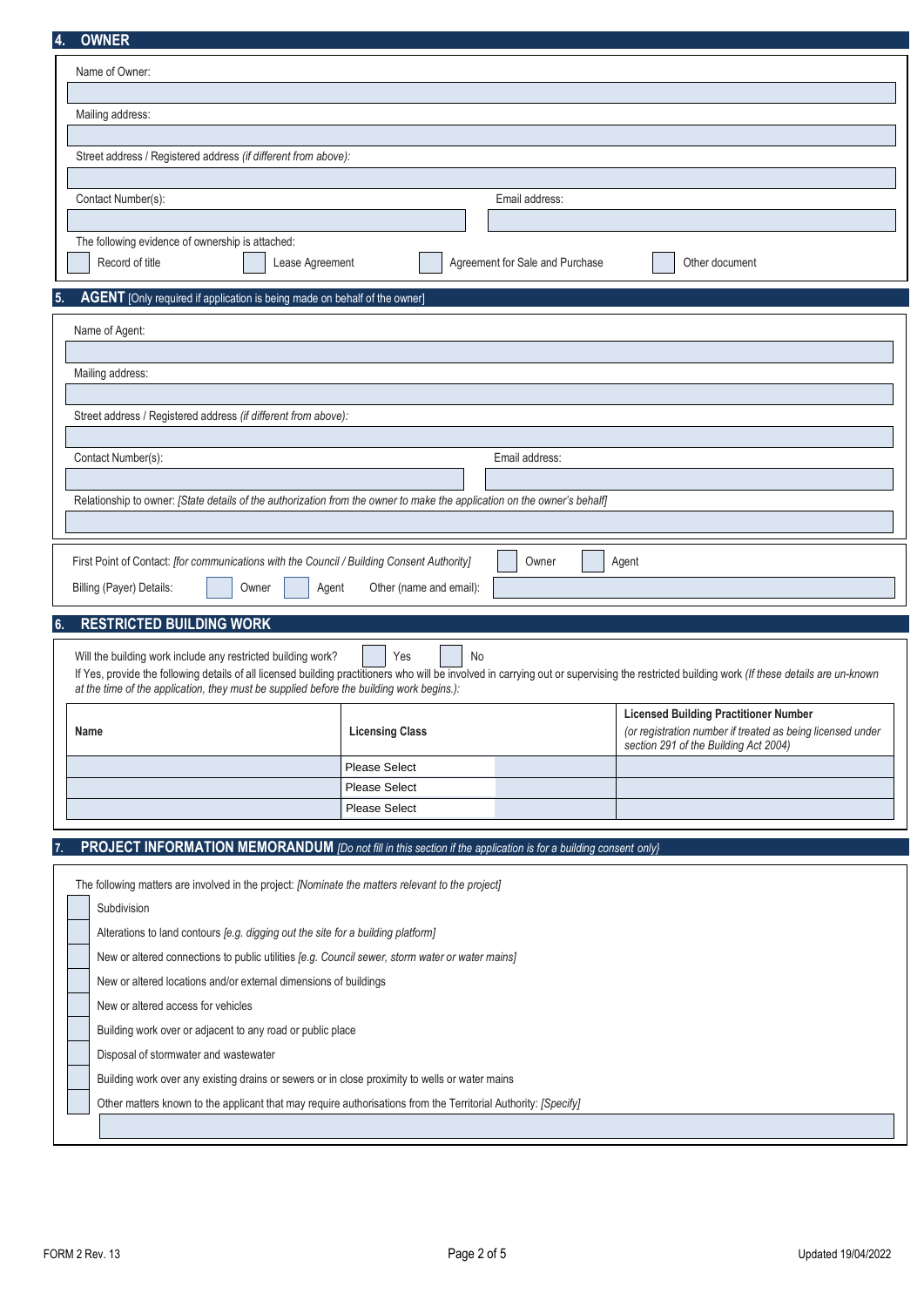| <b>OWNER</b>                                                                                                             |                                       |                                 |                                                                                                                                                                                              |
|--------------------------------------------------------------------------------------------------------------------------|---------------------------------------|---------------------------------|----------------------------------------------------------------------------------------------------------------------------------------------------------------------------------------------|
| Name of Owner:                                                                                                           |                                       |                                 |                                                                                                                                                                                              |
|                                                                                                                          |                                       |                                 |                                                                                                                                                                                              |
| Mailing address:                                                                                                         |                                       |                                 |                                                                                                                                                                                              |
|                                                                                                                          |                                       |                                 |                                                                                                                                                                                              |
| Street address / Registered address (if different from above):                                                           |                                       |                                 |                                                                                                                                                                                              |
|                                                                                                                          |                                       |                                 |                                                                                                                                                                                              |
| Contact Number(s):                                                                                                       |                                       | Email address:                  |                                                                                                                                                                                              |
|                                                                                                                          |                                       |                                 |                                                                                                                                                                                              |
| The following evidence of ownership is attached:                                                                         |                                       |                                 |                                                                                                                                                                                              |
| Record of title<br>Lease Agreement                                                                                       |                                       | Agreement for Sale and Purchase | Other document                                                                                                                                                                               |
| AGENT [Only required if application is being made on behalf of the owner]<br>5.                                          |                                       |                                 |                                                                                                                                                                                              |
|                                                                                                                          |                                       |                                 |                                                                                                                                                                                              |
| Name of Agent:                                                                                                           |                                       |                                 |                                                                                                                                                                                              |
|                                                                                                                          |                                       |                                 |                                                                                                                                                                                              |
| Mailing address:                                                                                                         |                                       |                                 |                                                                                                                                                                                              |
| Street address / Registered address (if different from above):                                                           |                                       |                                 |                                                                                                                                                                                              |
|                                                                                                                          |                                       |                                 |                                                                                                                                                                                              |
| Contact Number(s):                                                                                                       |                                       | Email address:                  |                                                                                                                                                                                              |
|                                                                                                                          |                                       |                                 |                                                                                                                                                                                              |
| Relationship to owner: [State details of the authorization from the owner to make the application on the owner's behalf] |                                       |                                 |                                                                                                                                                                                              |
|                                                                                                                          |                                       |                                 |                                                                                                                                                                                              |
|                                                                                                                          |                                       |                                 |                                                                                                                                                                                              |
|                                                                                                                          |                                       |                                 |                                                                                                                                                                                              |
| First Point of Contact: [for communications with the Council / Building Consent Authority]                               |                                       | Owner                           | Agent                                                                                                                                                                                        |
| Billing (Payer) Details:<br>Owner<br>Agent                                                                               | Other (name and email):               |                                 |                                                                                                                                                                                              |
| <b>RESTRICTED BUILDING WORK</b><br>6.                                                                                    |                                       |                                 |                                                                                                                                                                                              |
|                                                                                                                          |                                       |                                 |                                                                                                                                                                                              |
| Will the building work include any restricted building work?                                                             | Yes<br>No                             |                                 |                                                                                                                                                                                              |
| at the time of the application, they must be supplied before the building work begins.):                                 |                                       |                                 | If Yes, provide the following details of all licensed building practitioners who will be involved in carrying out or supervising the restricted building work (If these details are un-known |
|                                                                                                                          |                                       |                                 | <b>Licensed Building Practitioner Number</b>                                                                                                                                                 |
| Name                                                                                                                     | <b>Licensing Class</b>                |                                 | (or registration number if treated as being licensed under                                                                                                                                   |
|                                                                                                                          |                                       |                                 | section 291 of the Building Act 2004)                                                                                                                                                        |
|                                                                                                                          | <b>Please Select</b>                  |                                 |                                                                                                                                                                                              |
|                                                                                                                          | Please Select<br><b>Please Select</b> |                                 |                                                                                                                                                                                              |
|                                                                                                                          |                                       |                                 |                                                                                                                                                                                              |
| PROJECT INFORMATION MEMORANDUM [Do not fill in this section if the application is for a building consent only}           |                                       |                                 |                                                                                                                                                                                              |
|                                                                                                                          |                                       |                                 |                                                                                                                                                                                              |
| The following matters are involved in the project: [Nominate the matters relevant to the project]                        |                                       |                                 |                                                                                                                                                                                              |
| Subdivision                                                                                                              |                                       |                                 |                                                                                                                                                                                              |
| Alterations to land contours [e.g. digging out the site for a building platform]                                         |                                       |                                 |                                                                                                                                                                                              |
| New or altered connections to public utilities [e.g. Council sewer, storm water or water mains]                          |                                       |                                 |                                                                                                                                                                                              |
| New or altered locations and/or external dimensions of buildings                                                         |                                       |                                 |                                                                                                                                                                                              |
| New or altered access for vehicles                                                                                       |                                       |                                 |                                                                                                                                                                                              |
| Building work over or adjacent to any road or public place                                                               |                                       |                                 |                                                                                                                                                                                              |
| Disposal of stormwater and wastewater                                                                                    |                                       |                                 |                                                                                                                                                                                              |

Other matters known to the applicant that may require authorisations from the Territorial Authority: *[Specify]*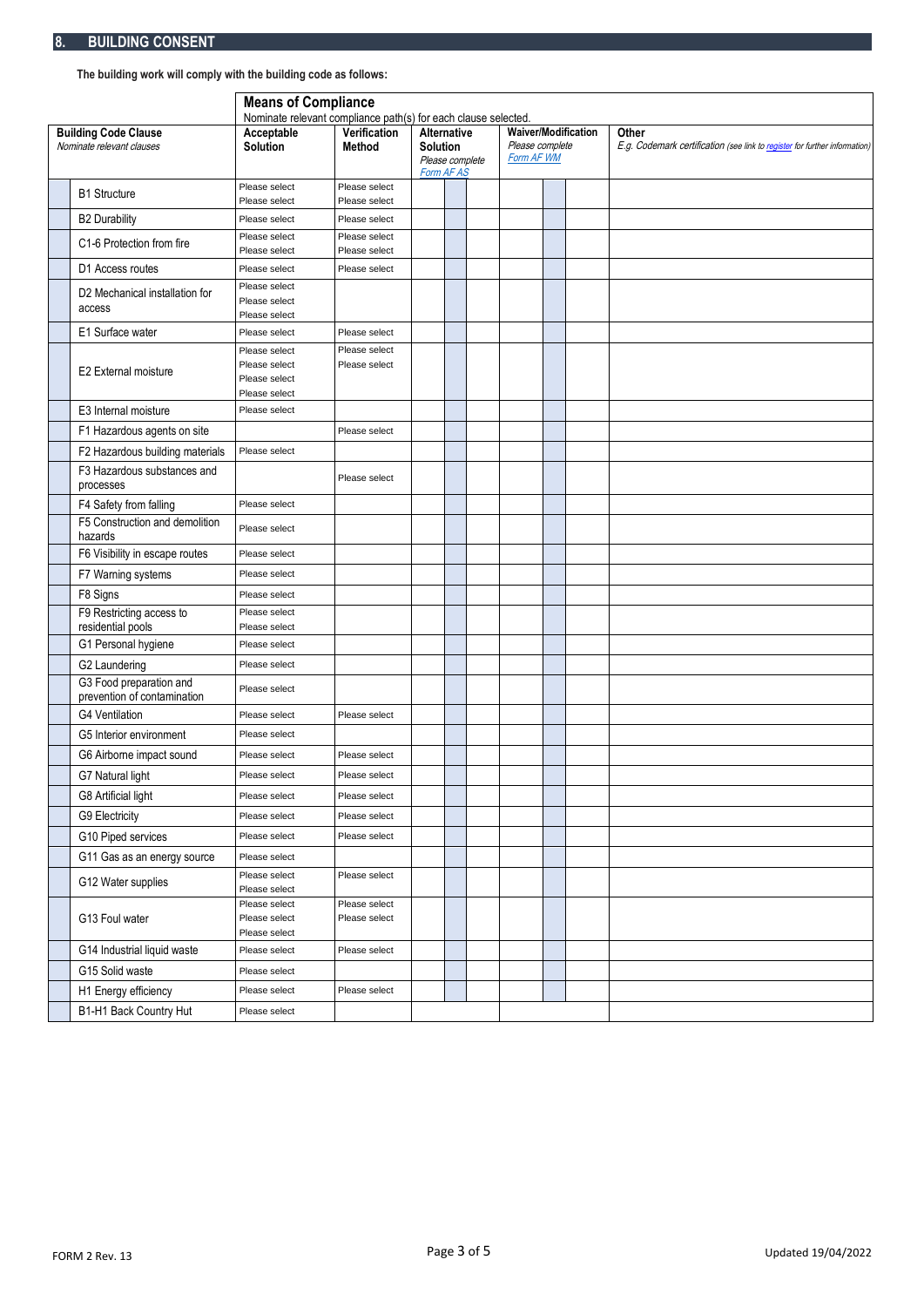**The building work will comply with the building code as follows:**

|                                                          | <b>Means of Compliance</b>                                    |                                |                                                                 |  |  |                                                                    |  |                                                                                     |
|----------------------------------------------------------|---------------------------------------------------------------|--------------------------------|-----------------------------------------------------------------|--|--|--------------------------------------------------------------------|--|-------------------------------------------------------------------------------------|
|                                                          | Nominate relevant compliance path(s) for each clause selected |                                |                                                                 |  |  |                                                                    |  |                                                                                     |
| <b>Building Code Clause</b><br>Nominate relevant clauses | Acceptable<br>Solution                                        | Verification<br><b>Method</b>  | Alternative<br><b>Solution</b><br>Please complete<br>Form AF AS |  |  | <b>Waiver/Modification</b><br>Please complete<br><b>Form AF WM</b> |  | Other<br>E.g. Codemark certification (see link to register for further information) |
|                                                          | Please select                                                 | Please select                  |                                                                 |  |  |                                                                    |  |                                                                                     |
| <b>B1 Structure</b>                                      | Please select                                                 | Please select                  |                                                                 |  |  |                                                                    |  |                                                                                     |
| <b>B2 Durability</b>                                     | Please select                                                 | Please select                  |                                                                 |  |  |                                                                    |  |                                                                                     |
| C1-6 Protection from fire                                | Please select                                                 | Please select                  |                                                                 |  |  |                                                                    |  |                                                                                     |
| D1 Access routes                                         | Please select<br>Please select                                | Please select<br>Please select |                                                                 |  |  |                                                                    |  |                                                                                     |
|                                                          | Please select                                                 |                                |                                                                 |  |  |                                                                    |  |                                                                                     |
| D2 Mechanical installation for<br>access                 | Please select<br>Please select                                |                                |                                                                 |  |  |                                                                    |  |                                                                                     |
| E1 Surface water                                         | Please select                                                 | Please select                  |                                                                 |  |  |                                                                    |  |                                                                                     |
|                                                          | Please select                                                 | Please select                  |                                                                 |  |  |                                                                    |  |                                                                                     |
| E2 External moisture                                     | Please select<br>Please select                                | Please select                  |                                                                 |  |  |                                                                    |  |                                                                                     |
|                                                          | Please select                                                 |                                |                                                                 |  |  |                                                                    |  |                                                                                     |
| E3 Internal moisture                                     | Please select                                                 |                                |                                                                 |  |  |                                                                    |  |                                                                                     |
| F1 Hazardous agents on site                              |                                                               | Please select                  |                                                                 |  |  |                                                                    |  |                                                                                     |
| F2 Hazardous building materials                          | Please select                                                 |                                |                                                                 |  |  |                                                                    |  |                                                                                     |
| F3 Hazardous substances and<br>processes                 |                                                               | Please select                  |                                                                 |  |  |                                                                    |  |                                                                                     |
| F4 Safety from falling                                   | Please select                                                 |                                |                                                                 |  |  |                                                                    |  |                                                                                     |
| F5 Construction and demolition<br>hazards                | Please select                                                 |                                |                                                                 |  |  |                                                                    |  |                                                                                     |
| F6 Visibility in escape routes                           | Please select                                                 |                                |                                                                 |  |  |                                                                    |  |                                                                                     |
| F7 Warning systems                                       | Please select                                                 |                                |                                                                 |  |  |                                                                    |  |                                                                                     |
| F8 Signs                                                 | Please select                                                 |                                |                                                                 |  |  |                                                                    |  |                                                                                     |
| F9 Restricting access to<br>residential pools            | Please select<br>Please select                                |                                |                                                                 |  |  |                                                                    |  |                                                                                     |
| G1 Personal hygiene                                      | Please select                                                 |                                |                                                                 |  |  |                                                                    |  |                                                                                     |
| G2 Laundering                                            | Please select                                                 |                                |                                                                 |  |  |                                                                    |  |                                                                                     |
| G3 Food preparation and<br>prevention of contamination   | Please select                                                 |                                |                                                                 |  |  |                                                                    |  |                                                                                     |
| <b>G4 Ventilation</b>                                    | Please select                                                 | Please select                  |                                                                 |  |  |                                                                    |  |                                                                                     |
| G5 Interior environment                                  | Please select                                                 |                                |                                                                 |  |  |                                                                    |  |                                                                                     |
| G6 Airborne impact sound                                 | Please select                                                 | Please select                  |                                                                 |  |  |                                                                    |  |                                                                                     |
| G7 Natural light                                         | Please select                                                 | Please select                  |                                                                 |  |  |                                                                    |  |                                                                                     |
| G8 Artificial light                                      | Please select                                                 | Please select                  |                                                                 |  |  |                                                                    |  |                                                                                     |
| G9 Electricity                                           | Please select                                                 | Please select                  |                                                                 |  |  |                                                                    |  |                                                                                     |
| G10 Piped services                                       | Please select                                                 | Please select                  |                                                                 |  |  |                                                                    |  |                                                                                     |
| G11 Gas as an energy source                              | Please select                                                 |                                |                                                                 |  |  |                                                                    |  |                                                                                     |
| G12 Water supplies                                       | Please select<br>Please select                                | Please select                  |                                                                 |  |  |                                                                    |  |                                                                                     |
| G13 Foul water                                           | Please select<br>Please select                                | Please select<br>Please select |                                                                 |  |  |                                                                    |  |                                                                                     |
|                                                          | Please select                                                 |                                |                                                                 |  |  |                                                                    |  |                                                                                     |
| G14 Industrial liquid waste                              | Please select                                                 | Please select                  |                                                                 |  |  |                                                                    |  |                                                                                     |
| G15 Solid waste                                          | Please select                                                 |                                |                                                                 |  |  |                                                                    |  |                                                                                     |
| H1 Energy efficiency                                     | Please select                                                 | Please select                  |                                                                 |  |  |                                                                    |  |                                                                                     |
| B1-H1 Back Country Hut                                   | Please select                                                 |                                |                                                                 |  |  |                                                                    |  |                                                                                     |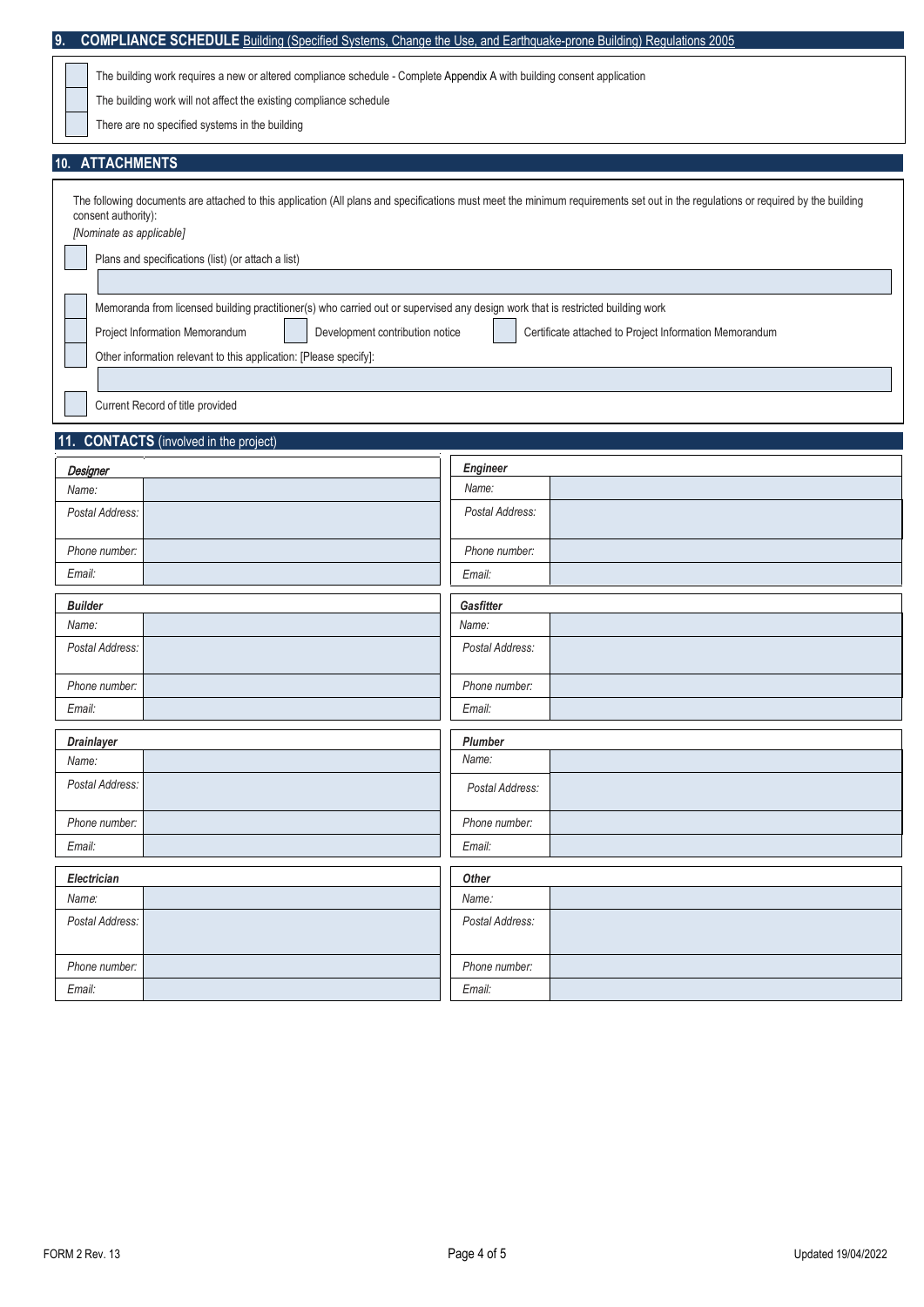| 9.                                                                                                                      | <b>COMPLIANCE SCHEDULE</b> Building (Specified Systems, Change the Use, and Earthguake-prone Building) Regulations 2005                                                          |  |  |  |  |
|-------------------------------------------------------------------------------------------------------------------------|----------------------------------------------------------------------------------------------------------------------------------------------------------------------------------|--|--|--|--|
| The building work requires a new or altered compliance schedule - Complete Appendix A with building consent application |                                                                                                                                                                                  |  |  |  |  |
| The building work will not affect the existing compliance schedule                                                      |                                                                                                                                                                                  |  |  |  |  |
| There are no specified systems in the building                                                                          |                                                                                                                                                                                  |  |  |  |  |
|                                                                                                                         |                                                                                                                                                                                  |  |  |  |  |
| <b>ATTACHMENTS</b><br>10.                                                                                               |                                                                                                                                                                                  |  |  |  |  |
|                                                                                                                         | The following documents are attached to this application (All plans and specifications must meet the minimum requirements set out in the regulations or required by the building |  |  |  |  |
| consent authority):<br>[Nominate as applicable]                                                                         |                                                                                                                                                                                  |  |  |  |  |
|                                                                                                                         |                                                                                                                                                                                  |  |  |  |  |
| Plans and specifications (list) (or attach a list)                                                                      |                                                                                                                                                                                  |  |  |  |  |
|                                                                                                                         |                                                                                                                                                                                  |  |  |  |  |
|                                                                                                                         | Memoranda from licensed building practitioner(s) who carried out or supervised any design work that is restricted building work                                                  |  |  |  |  |
| Project Information Memorandum                                                                                          | Development contribution notice<br>Certificate attached to Project Information Memorandum                                                                                        |  |  |  |  |
| Other information relevant to this application: [Please specify]:                                                       |                                                                                                                                                                                  |  |  |  |  |
|                                                                                                                         |                                                                                                                                                                                  |  |  |  |  |
| Current Record of title provided                                                                                        |                                                                                                                                                                                  |  |  |  |  |
| 11. CONTACTS (involved in the project)                                                                                  |                                                                                                                                                                                  |  |  |  |  |
| Designer                                                                                                                | Engineer                                                                                                                                                                         |  |  |  |  |
| Name:                                                                                                                   | Name:                                                                                                                                                                            |  |  |  |  |
| Postal Address:                                                                                                         | Postal Address:                                                                                                                                                                  |  |  |  |  |
|                                                                                                                         |                                                                                                                                                                                  |  |  |  |  |
| Phone number:                                                                                                           | Phone number:                                                                                                                                                                    |  |  |  |  |
| Email:                                                                                                                  | Email:                                                                                                                                                                           |  |  |  |  |
| <b>Builder</b>                                                                                                          | Gasfitter                                                                                                                                                                        |  |  |  |  |
| Name:                                                                                                                   | Name:                                                                                                                                                                            |  |  |  |  |
| Postal Address:                                                                                                         | Postal Address:                                                                                                                                                                  |  |  |  |  |
| Phone number:                                                                                                           | Phone number:                                                                                                                                                                    |  |  |  |  |
| Email:                                                                                                                  | Email:                                                                                                                                                                           |  |  |  |  |
| <b>Drainlayer</b>                                                                                                       | Plumber                                                                                                                                                                          |  |  |  |  |
| Name:                                                                                                                   | Name:                                                                                                                                                                            |  |  |  |  |
| Postal Address:                                                                                                         | Postal Address:                                                                                                                                                                  |  |  |  |  |
| Phone number:                                                                                                           | Phone number:                                                                                                                                                                    |  |  |  |  |
| Email:                                                                                                                  | Email:                                                                                                                                                                           |  |  |  |  |
| Electrician                                                                                                             | Other                                                                                                                                                                            |  |  |  |  |
| Name:                                                                                                                   | Name:                                                                                                                                                                            |  |  |  |  |
| Postal Address:                                                                                                         | Postal Address:                                                                                                                                                                  |  |  |  |  |
| Phone number:                                                                                                           | Phone number:                                                                                                                                                                    |  |  |  |  |
| Email:                                                                                                                  | Email:                                                                                                                                                                           |  |  |  |  |
|                                                                                                                         |                                                                                                                                                                                  |  |  |  |  |